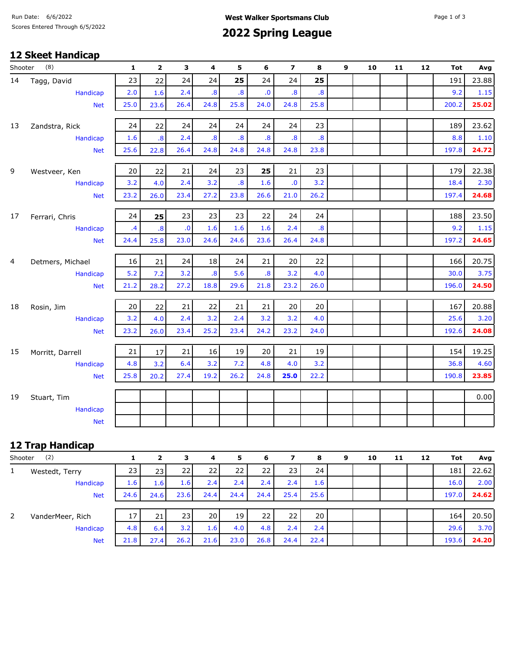# Scores Entered Through 6/5/2022 **Spring League**

### **12 Skeet Handicap**

| (8)<br>Shooter |                        | $\mathbf{1}$    | $\mathbf{2}$            | 3                       | 4                       | 5                       | 6                       | $\overline{z}$          | 8                       | 9 | 10 | 11 | 12 | <b>Tot</b> | Avg      |
|----------------|------------------------|-----------------|-------------------------|-------------------------|-------------------------|-------------------------|-------------------------|-------------------------|-------------------------|---|----|----|----|------------|----------|
| 14             | Tagg, David            | 23              | 22                      | 24                      | 24                      | 25                      | 24                      | 24                      | 25                      |   |    |    |    | 191        | 23.88    |
|                | Handicap               | 2.0             | 1.6                     | 2.4                     | $\overline{\mathbf{8}}$ | $\overline{\mathbf{8}}$ | $\mathbf{0}$            | $\overline{\mathbf{8}}$ | $\overline{\mathbf{8}}$ |   |    |    |    | 9.2        | 1.15     |
|                | <b>Net</b>             | 25.0            | 23.6                    | 26.4                    | 24.8                    | 25.8                    | 24.0                    | 24.8                    | 25.8                    |   |    |    |    | 200.2      | 25.02    |
|                |                        |                 |                         |                         |                         |                         |                         |                         |                         |   |    |    |    |            |          |
| 13             | Zandstra, Rick         | 24              | 22                      | 24                      | 24                      | 24                      | 24                      | 24                      | 23                      |   |    |    |    | 189        | 23.62    |
|                | <b>Handicap</b>        | 1.6             | $\overline{\mathbf{8}}$ | 2.4                     | $\overline{\mathbf{8}}$ | $\overline{\mathbf{8}}$ | $\overline{\mathbf{8}}$ | $\overline{\mathbf{8}}$ | $\overline{\mathbf{8}}$ |   |    |    |    | 8.8        | $1.10\,$ |
|                | <b>Net</b>             | 25.6            | 22.8                    | 26.4                    | 24.8                    | 24.8                    | 24.8                    | 24.8                    | 23.8                    |   |    |    |    | 197.8      | 24.72    |
| 9              | Westveer, Ken          | 20              | 22                      | 21                      | 24                      | 23                      | 25                      | 21                      | 23                      |   |    |    |    | 179        | 22.38    |
|                | Handicap               | 3.2             | 4.0                     | 2.4                     | 3.2                     | $\boldsymbol{.8}$       | 1.6                     | $\mathbf{0}$            | 3.2                     |   |    |    |    | 18.4       | 2.30     |
|                | <b>Net</b>             | 23.2            | 26.0                    | 23.4                    | 27.2                    | 23.8                    | 26.6                    | 21.0                    | 26.2                    |   |    |    |    | 197.4      | 24.68    |
|                |                        |                 |                         |                         |                         |                         |                         |                         |                         |   |    |    |    |            |          |
| 17             | Ferrari, Chris         | 24              | 25                      | 23                      | 23                      | 23                      | 22                      | 24                      | 24                      |   |    |    |    | 188        | 23.50    |
|                | Handicap               | $\overline{.4}$ | $\overline{\mathbf{8}}$ | $\overline{\mathbf{0}}$ | 1.6                     | 1.6                     | 1.6                     | 2.4                     | $\overline{\mathbf{8}}$ |   |    |    |    | 9.2        | 1.15     |
|                | <b>Net</b>             | 24.4            | 25.8                    | 23.0                    | 24.6                    | 24.6                    | 23.6                    | 26.4                    | 24.8                    |   |    |    |    | 197.2      | 24.65    |
| 4              | Detmers, Michael       | 16              | 21                      | 24                      | 18                      | 24                      | 21                      | 20                      | 22                      |   |    |    |    | 166        | 20.75    |
|                | Handicap               | 5.2             | 7.2                     | 3.2                     | $\overline{\mathbf{8}}$ | 5.6                     | $\overline{\mathbf{8}}$ | 3.2                     | 4.0                     |   |    |    |    | 30.0       | 3.75     |
|                | <b>Net</b>             | 21.2            | 28.2                    | 27.2                    | 18.8                    | 29.6                    | 21.8                    | 23.2                    | 26.0                    |   |    |    |    | 196.0      | 24.50    |
| 18             |                        | 20              | 22                      | 21                      | 22                      | 21                      | 21                      | 20                      | 20                      |   |    |    |    | 167        | 20.88    |
|                | Rosin, Jim<br>Handicap | 3.2             | 4.0                     | 2.4                     | 3.2                     | 2.4                     | 3.2                     | 3.2                     | 4.0                     |   |    |    |    | 25.6       | 3.20     |
|                | <b>Net</b>             | 23.2            | 26.0                    | 23.4                    | 25.2                    | 23.4                    | 24.2                    | 23.2                    | 24.0                    |   |    |    |    | 192.6      | 24.08    |
|                |                        |                 |                         |                         |                         |                         |                         |                         |                         |   |    |    |    |            |          |
| 15             | Morritt, Darrell       | 21              | 17                      | 21                      | 16                      | 19                      | 20                      | 21                      | 19                      |   |    |    |    | 154        | 19.25    |
|                | <b>Handicap</b>        | 4.8             | 3.2                     | 6.4                     | 3.2                     | 7.2                     | 4.8                     | 4.0                     | 3.2                     |   |    |    |    | 36.8       | 4.60     |
|                | <b>Net</b>             | 25.8            | 20.2                    | 27.4                    | 19.2                    | 26.2                    | 24.8                    | 25.0                    | 22.2                    |   |    |    |    | 190.8      | 23.85    |
| 19             | Stuart, Tim            |                 |                         |                         |                         |                         |                         |                         |                         |   |    |    |    |            | 0.00     |
|                | Handicap               |                 |                         |                         |                         |                         |                         |                         |                         |   |    |    |    |            |          |
|                | <b>Net</b>             |                 |                         |                         |                         |                         |                         |                         |                         |   |    |    |    |            |          |
|                |                        |                 |                         |                         |                         |                         |                         |                         |                         |   |    |    |    |            |          |

## **12 Trap Handicap**

| (2)<br>Shooter |                  |                 | 2                | 3    | 4    | 5    | 6    | 7               | 8    | 9 | 10 | 11 | 12 | Tot   | Avg   |
|----------------|------------------|-----------------|------------------|------|------|------|------|-----------------|------|---|----|----|----|-------|-------|
| $\mathbf{1}$   | Westedt, Terry   | 23 <sup>1</sup> | 231              | 22   | 22   | 22   | 22   | 23 <sub>1</sub> | 24   |   |    |    |    | 181   | 22.62 |
|                | Handicap         | 1.6             | 1.6 <sub>l</sub> | 1.6  | 2.4  | 2.4  | 2.4  | 2.4             | 1.6  |   |    |    |    | 16.0  | 2.00  |
|                | <b>Net</b>       | 24.6            | 24.6             | 23.6 | 24.4 | 24.4 | 24.4 | 25.4            | 25.6 |   |    |    |    | 197.0 | 24.62 |
|                |                  |                 |                  |      |      |      |      |                 |      |   |    |    |    |       |       |
| 2              | VanderMeer, Rich | 17              | 21               | 23   | 20   | 19   | 22   | 22              | 20   |   |    |    |    | 164   | 20.50 |
|                | Handicap         | 4.8             | 6.4              | 3.2  | 1.6  | 4.0  | 4.8  | 2.4             | 2.4  |   |    |    |    | 29.6  | 3.70  |
|                | <b>Net</b>       | 21.8            | 27.4             | 26.2 | 21.6 | 23.0 | 26.8 | 24.4            | 22.4 |   |    |    |    | 193.6 | 24.20 |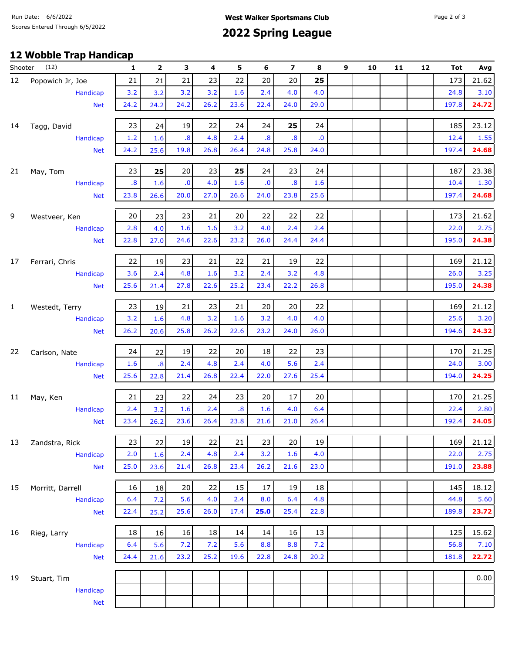# Scores Entered Through 6/5/2022 **Spring League**

## **12 Wobble Trap Handicap**

| Shooter      | (12)             | 1    | 2                       | з                 | 4    | 5                 | 6                       | 7                       | 8            | 9 | 10 | 11 | 12 | Tot   | Avg   |
|--------------|------------------|------|-------------------------|-------------------|------|-------------------|-------------------------|-------------------------|--------------|---|----|----|----|-------|-------|
| 12           | Popowich Jr, Joe | 21   | 21                      | 21                | 23   | 22                | 20                      | 20                      | 25           |   |    |    |    | 173   | 21.62 |
|              | Handicap         | 3.2  | 3.2                     | 3.2               | 3.2  | 1.6               | 2.4                     | 4.0                     | 4.0          |   |    |    |    | 24.8  | 3.10  |
|              | <b>Net</b>       | 24.2 | 24.2                    | 24.2              | 26.2 | 23.6              | 22.4                    | 24.0                    | 29.0         |   |    |    |    | 197.8 | 24.72 |
| 14           | Tagg, David      | 23   | 24                      | 19                | 22   | 24                | 24                      | 25                      | 24           |   |    |    |    | 185   | 23.12 |
|              | Handicap         | 1.2  | 1.6                     | $\boldsymbol{.8}$ | 4.8  | 2.4               | $\overline{\mathbf{8}}$ | $\overline{\mathbf{8}}$ | $\mathbf{0}$ |   |    |    |    | 12.4  | 1.55  |
|              | <b>Net</b>       | 24.2 | 25.6                    | 19.8              | 26.8 | 26.4              | 24.8                    | 25.8                    | 24.0         |   |    |    |    | 197.4 | 24.68 |
| 21           | May, Tom         | 23   | 25                      | 20                | 23   | 25                | 24                      | 23                      | 24           |   |    |    |    | 187   | 23.38 |
|              | Handicap         | .8   | 1.6                     | ${\bf .0}$        | 4.0  | 1.6               | ${\bf .0}$              | $\overline{\mathbf{8}}$ | 1.6          |   |    |    |    | 10.4  | 1.30  |
|              | <b>Net</b>       | 23.8 | 26.6                    | 20.0              | 27.0 | 26.6              | 24.0                    | 23.8                    | 25.6         |   |    |    |    | 197.4 | 24.68 |
| 9            | Westveer, Ken    | 20   | 23                      | 23                | 21   | 20                | 22                      | 22                      | 22           |   |    |    |    | 173   | 21.62 |
|              | Handicap         | 2.8  | 4.0                     | 1.6               | 1.6  | 3.2               | 4.0                     | 2.4                     | 2.4          |   |    |    |    | 22.0  | 2.75  |
|              | <b>Net</b>       | 22.8 | 27.0                    | 24.6              | 22.6 | 23.2              | 26.0                    | 24.4                    | 24.4         |   |    |    |    | 195.0 | 24.38 |
| 17           | Ferrari, Chris   | 22   | 19                      | 23                | 21   | 22                | 21                      | 19                      | 22           |   |    |    |    | 169   | 21.12 |
|              | Handicap         | 3.6  | 2.4                     | 4.8               | 1.6  | 3.2               | 2.4                     | 3.2                     | 4.8          |   |    |    |    | 26.0  | 3.25  |
|              | <b>Net</b>       | 25.6 | 21.4                    | 27.8              | 22.6 | 25.2              | 23.4                    | 22.2                    | 26.8         |   |    |    |    | 195.0 | 24.38 |
|              |                  |      |                         |                   |      |                   |                         |                         |              |   |    |    |    |       |       |
| $\mathbf{1}$ | Westedt, Terry   | 23   | 19                      | 21                | 23   | 21                | 20                      | 20                      | 22           |   |    |    |    | 169   | 21.12 |
|              | Handicap         | 3.2  | 1.6                     | 4.8               | 3.2  | 1.6               | 3.2                     | 4.0                     | 4.0          |   |    |    |    | 25.6  | 3.20  |
|              | <b>Net</b>       | 26.2 | 20.6                    | 25.8              | 26.2 | 22.6              | 23.2                    | 24.0                    | 26.0         |   |    |    |    | 194.6 | 24.32 |
| 22           | Carlson, Nate    | 24   | 22                      | 19                | 22   | 20                | 18                      | 22                      | 23           |   |    |    |    | 170   | 21.25 |
|              | Handicap         | 1.6  | $\overline{\mathbf{8}}$ | 2.4               | 4.8  | 2.4               | 4.0                     | 5.6                     | 2.4          |   |    |    |    | 24.0  | 3.00  |
|              | <b>Net</b>       | 25.6 | 22.8                    | 21.4              | 26.8 | 22.4              | 22.0                    | 27.6                    | 25.4         |   |    |    |    | 194.0 | 24.25 |
| 11           | May, Ken         | 21   | 23                      | 22                | 24   | 23                | 20                      | 17                      | 20           |   |    |    |    | 170   | 21.25 |
|              | Handicap         | 2.4  | 3.2                     | 1.6               | 2.4  | $\boldsymbol{.8}$ | 1.6                     | 4.0                     | 6.4          |   |    |    |    | 22.4  | 2.80  |
|              | <b>Net</b>       | 23.4 | 26.2                    | 23.6              | 26.4 | 23.8              | 21.6                    | 21.0                    | 26.4         |   |    |    |    | 192.4 | 24.05 |
| 13           | Zandstra, Rick   | 23   | 22                      | 19                | 22   | 21                | 23                      | 20                      | 19           |   |    |    |    | 169   | 21.12 |
|              | Handicap         | 2.0  | 1.6                     | 2.4               | 4.8  | 2.4               | 3.2                     | 1.6                     | 4.0          |   |    |    |    | 22.0  | 2.75  |
|              | <b>Net</b>       | 25.0 | 23.6                    | 21.4              | 26.8 | 23.4              | 26.2                    | 21.6                    | 23.0         |   |    |    |    | 191.0 | 23.88 |
|              |                  |      |                         |                   |      |                   |                         |                         |              |   |    |    |    |       |       |
| 15           | Morritt, Darrell | 16   | 18                      | 20                | 22   | 15                | 17                      | 19                      | 18           |   |    |    |    | 145   | 18.12 |
|              | Handicap         | 6.4  | 7.2                     | 5.6               | 4.0  | 2.4               | 8.0                     | 6.4                     | 4.8          |   |    |    |    | 44.8  | 5.60  |
|              | <b>Net</b>       | 22.4 | 25.2                    | 25.6              | 26.0 | 17.4              | 25.0                    | 25.4                    | 22.8         |   |    |    |    | 189.8 | 23.72 |
| 16           | Rieg, Larry      | 18   | 16                      | 16                | 18   | 14                | 14                      | 16                      | 13           |   |    |    |    | 125   | 15.62 |
|              | Handicap         | 6.4  | 5.6                     | 7.2               | 7.2  | 5.6               | 8.8                     | 8.8                     | 7.2          |   |    |    |    | 56.8  | 7.10  |
|              | <b>Net</b>       | 24.4 | 21.6                    | 23.2              | 25.2 | 19.6              | 22.8                    | 24.8                    | 20.2         |   |    |    |    | 181.8 | 22.72 |
| 19           | Stuart, Tim      |      |                         |                   |      |                   |                         |                         |              |   |    |    |    |       | 0.00  |
|              | Handicap         |      |                         |                   |      |                   |                         |                         |              |   |    |    |    |       |       |
|              | <b>Net</b>       |      |                         |                   |      |                   |                         |                         |              |   |    |    |    |       |       |